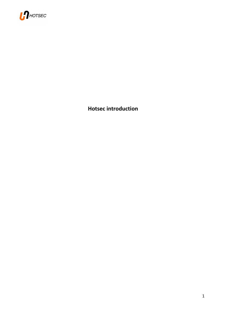

**Hotsec introduction**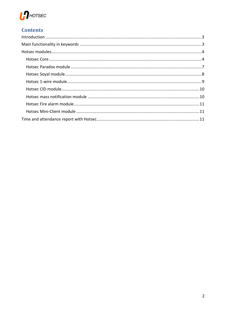

# **Contents**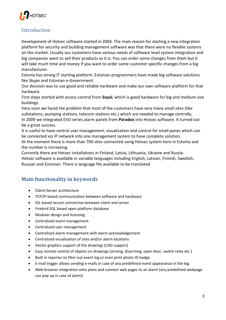

# Introduction

Development of Hotsec software started in 2004. The main reason for starting a new integration platform for security and building management software was that there were no flexible systems on the market. Usually our customers have various needs of software level system integration and big companies want to sell their products as it is. You can order some changes from them but it will take much time and money if you want to order some customer specific changes from a big manufacturer.

Estonia has strong IT starting platform. Estonian programmers have made big software solutions like Skype and Estonian e-Government.

Our decision was to use good and reliable hardware and make our own software platform for that hardware.

First steps started with access control from **Soyal**, which is good hardware for big and medium size buildings.

Very soon we faced the problem that most of the customers have very many small sites (like substations, pumping stations, telecom stations etc.) which are needed to manage centrally. In 2009 we integrated EVO series alarm panels from **Paradox** into Hotsec software. It turned out be a great success.

It is useful to have central user management, visualization and control for small panes which can be connected via IP network into one management system to have complete solution.

At the moment there is more than 700 sites connected using Hotsec system here in Estonia and the number is increasing.

Currently there are Hotsec installations in Finland, Latvia, Lithuania, Ukraine and Russia. Hotsec software is available in variable languages including English, Latvian, Finnish, Swedish, Russian and Estonian. There is language file available to be translated.

# **Main functionality in keywords**

- Client-Server architecture
- TCP/IP based communication between software and hardware
- SSL based secure connection between client and server
- Firebird SQL based open platform database
- Modular design and licensing
- Centralized event management
- Centralized user management
- Centralized alarm management with alarm acknowledgement
- Centralized visualization of sites and/or alarm locations
- Vector graphics support of the drawings (CAD support)
- Easy remote control of objects on drawings (arming, disarming, open door, switch relay etc.)
- Built in reporter to filter out event log or even print photo-ID badge
- E-mail trigger allows sending e-mails in case of any predefined event appearance in the log.
- Web browser integration onto plans and connect web pages to an alarm (any predefined webpage can pop up in case of alarm)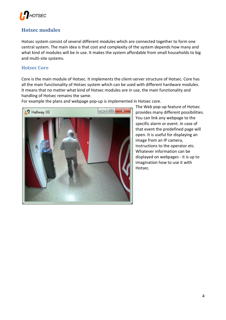

# **Hotsec modules**

Hotsec system consist of several different modules which are connected together to form one central system. The main idea is that cost and complexity of the system depends how many and what kind of modules will be in use. It makes the system affordable from small households to big and multi-site systems.

#### **Hotsec Core**

Core is the main module of Hotsec. It implements the client-server structure of Hotsec. Core has all the main functionality of Hotsec system which can be used with different hardware modules. It means that no matter what kind of Hotsec modules are in use, the main functionality and handling of Hotsec remains the same.

For example the plans and webpage pop-up is implemented in Hotsec core.



The Web pop-up feature of Hotsec provides many different possibilities. You can link any webpage to the specific alarm or event. In case of that event the predefined page will open. It is useful for displaying an image from an IP camera, instructions to the operator etc. Whatever information can be displayed on webpages - it is up to imagination how to use it with Hotsec.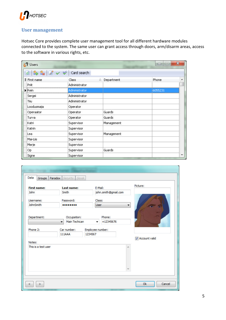

#### **User management**

Hotsec Core provides complete user management tool for all different hardware modules connected to the system. The same user can grant access through doors, arm/disarm areas, access to the software in various rights, etc.

| Users                      |               | x<br>$=$<br>▭ |                          |
|----------------------------|---------------|---------------|--------------------------|
| R<br>òф.                   | Card search   |               |                          |
| E First name               | Class<br>Δ    | Department    | Phone<br>▲               |
| Priit                      | Administrator |               |                          |
| $\blacktriangleright$ Rein | Administrator |               | 6055231                  |
| Sergei                     | Administrator |               |                          |
| Tiiu                       | Administrator |               |                          |
| Loodusmaja                 | Operator      |               |                          |
| Operaator                  | Operator      | Guards        |                          |
| Turva                      | Operator      | Guards        |                          |
| Katri                      | Supervisor    | Management    |                          |
| Katrin                     | Supervisor    |               |                          |
| Lea                        | Supervisor    | Management    |                          |
| Mai-Liis                   | Supervisor    |               |                          |
| Merje                      | Supervisor    |               |                          |
| Op                         | Supervisor    | Guards        |                          |
| Signe                      | Supervisor    |               | $\overline{\phantom{a}}$ |

| <b>First name:</b>            | Last name:                   | E-Mail:                     | Picture:      |
|-------------------------------|------------------------------|-----------------------------|---------------|
| <b>John</b>                   | Smith                        | john.smith@gmail.com        |               |
| Username:<br><b>JohnSmith</b> | Password:<br>                | Class:<br><b>User</b><br>▼  |               |
| Department:                   | Occupation:<br>Main Techican | Phone:<br>+12345676<br>۰    |               |
| Phone 2:                      | Car number:<br>111AAA        | Employee number:<br>1234567 | Account valid |
| Notes:                        |                              |                             |               |
| This is a test user           |                              | A.                          |               |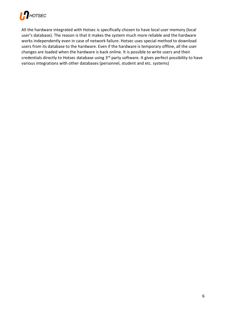

All the hardware integrated with Hotsec is specifically chosen to have local user memory (local user's database). The reason is that it makes the system much more reliable and the hardware works independently even in case of network failure. Hotsec uses special method to download users from its database to the hardware. Even if the hardware is temporary offline, all the user changes are loaded when the hardware is back online. It is possible to write users and their credentials directly to Hotsec database using 3rd party software. It gives perfect possibility to have various integrations with other databases (personnel, student and etc. systems)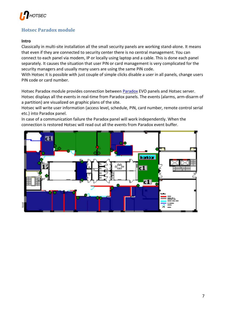

## **Hotsec Paradox module**

#### **Intro**

Classically in multi-site installation all the small security panels are working stand-alone. It means that even if they are connected to security center there is no central management. You can connect to each panel via modem, IP or locally using laptop and a cable. This is done each panel separately. It causes the situation that user PIN or card management is very complicated for the security managers and usually many users are using the same PIN code.

With Hotsec it is possible with just couple of simple clicks disable a user in all panels, change users PIN code or card number.

Hotsec Paradox module provides connection between Paradox EVO panels and Hotsec server. Hotsec displays all the events in real-time from Paradox panels. The events (alarms, arm-disarm of a partition) are visualized on graphic plans of the site.

Hotsec will write user information (access level, schedule, PIN, card number, remote control serial etc.) into Paradox panel.

In case of a communication failure the Paradox panel will work independently. When the connection is restored Hotsec will read out all the events from Paradox event buffer.

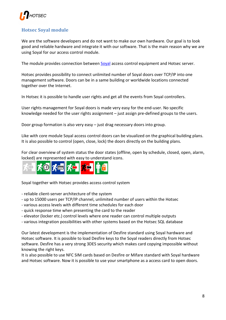

## **Hotsec Soyal module**

We are the software developers and do not want to make our own hardware. Our goal is to look good and reliable hardware and integrate it with our software. That is the main reason why we are using Soyal for our access control module.

The module provides connection between Soyal access control equipment and Hotsec server.

Hotsec provides possibility to connect unlimited number of Soyal doors over TCP/IP into one management software. Doors can be in a same building or worldwide locations connected together over the Internet.

In Hotsec it is possible to handle user rights and get all the events from Soyal controllers.

User rights management for Soyal doors is made very easy for the end-user. No specific knowledge needed for the user rights assignment – just assign pre-defined groups to the users.

Door group formation is also very easy – just drag necessary doors into group.

Like with core module Soyal access control doors can be visualized on the graphical building plans. It is also possible to control (open, close, lock) the doors directly on the building plans.

For clear overview of system status the door states (offline, open by schedule, closed, open, alarm, locked) are represented with easy to understand icons.



Soyal together with Hotsec provides access control system

- reliable client-server architecture of the system
- up to 15000 users per TCP/IP channel, unlimited number of users within the Hotsec
- various access levels with different time schedules for each door
- quick response time when presenting the card to the reader
- elevator (locker etc.) control levels where one reader can control multiple outputs
- various integration possibilities with other systems based on the Hotsec SQL database

Our latest development is the implementation of Desfire standard using Soyal hardware and Hotsec software. It is possible to load Desfire keys to the Soyal readers directly from Hotsec software. Desfire has a very strong 3DES security which makes card copying impossible without knowing the right keys.

It is also possible to use NFC SIM cards based on Desfire or Mifare standard with Soyal hardware and Hotsec software. Now it is possible to use your smartphone as a access card to open doors.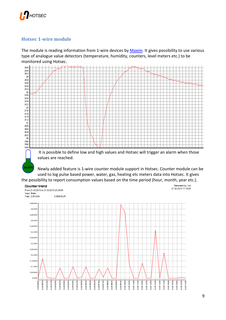

### **Hotsec 1-wire module**

The module is reading information from 1-wire devices by Maxim. It gives possibility to use various type of analogue value detectors (temperature, humidity, counters, level meters etc.) to be monitored using Hotsec.



 It is possible to define low and high values and Hotsec will trigger an alarm when those values are reached.

Newly added feature is 1-wire counter module support in Hotsec. Counter module can be used to log pulse based power, water, gas, heating etc meters data into Hotsec. It gives

the possibility to report consumption values based on the time period (hour, month, year etc.).

#### **Counter trend**

**24.25°C**



Generated by: hot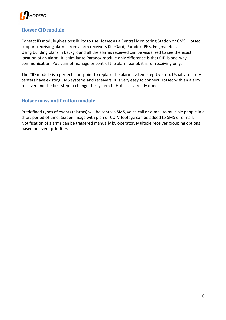

#### **Hotsec CID module**

Contact ID module gives possibility to use Hotsec as a Central Monitoring Station or CMS. Hotsec support receiving alarms from alarm receivers (SurGard, Paradox IPRS, Enigma etc.). Using building plans in background all the alarms received can be visualized to see the exact location of an alarm. It is similar to Paradox module only difference is that CID is one-way communication. You cannot manage or control the alarm panel, it is for receiving only.

The CID module is a perfect start point to replace the alarm system step-by-step. Usually security centers have existing CMS systems and receivers. It is very easy to connect Hotsec with an alarm receiver and the first step to change the system to Hotsec is already done.

#### **Hotsec mass notification module**

Predefined types of events (alarms) will be sent via SMS, voice call or e-mail to multiple people in a short period of time. Screen image with plan or CCTV footage can be added to SMS or e-mail. Notification of alarms can be triggered manually by operator. Multiple receiver grouping options based on event priorities.